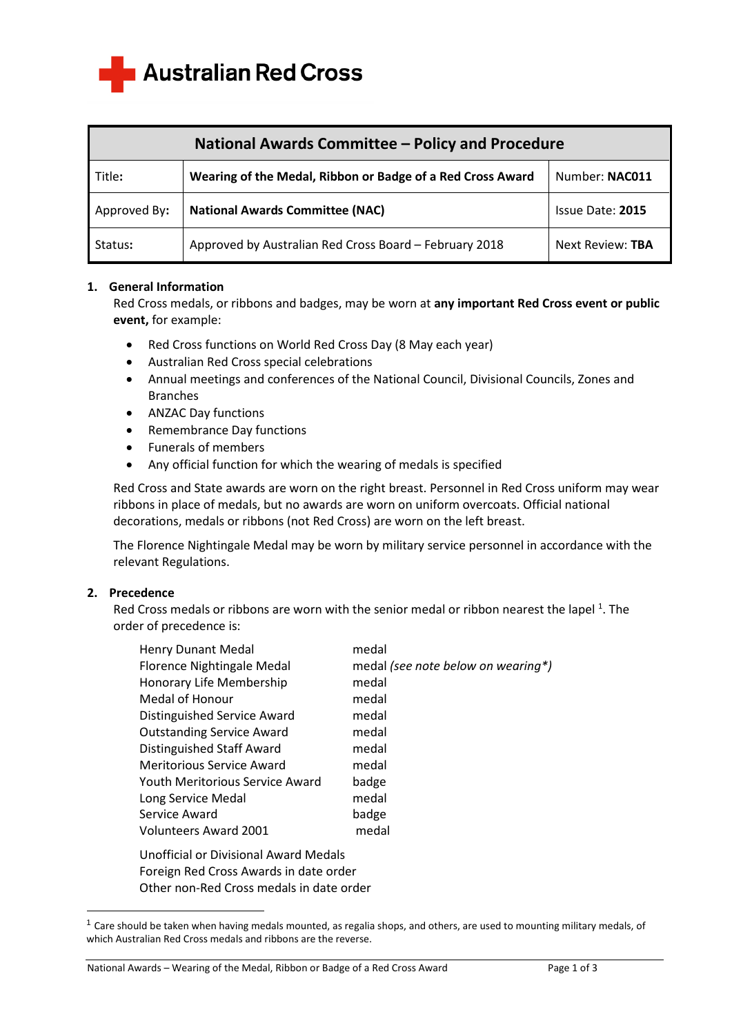**Australian Red Cross** 

| National Awards Committee - Policy and Procedure |                                                            |                  |  |
|--------------------------------------------------|------------------------------------------------------------|------------------|--|
| Title:                                           | Wearing of the Medal, Ribbon or Badge of a Red Cross Award | Number: NAC011   |  |
| Approved By:                                     | <b>National Awards Committee (NAC)</b>                     | Issue Date: 2015 |  |
| Status:                                          | Approved by Australian Red Cross Board - February 2018     | Next Review: TBA |  |

# **1. General Information**

Red Cross medals, or ribbons and badges, may be worn at **any important Red Cross event or public event,** for example:

- Red Cross functions on World Red Cross Day (8 May each year)
- Australian Red Cross special celebrations
- Annual meetings and conferences of the National Council, Divisional Councils, Zones and Branches
- ANZAC Day functions
- Remembrance Day functions
- Funerals of members
- Any official function for which the wearing of medals is specified

Red Cross and State awards are worn on the right breast. Personnel in Red Cross uniform may wear ribbons in place of medals, but no awards are worn on uniform overcoats. Official national decorations, medals or ribbons (not Red Cross) are worn on the left breast.

The Florence Nightingale Medal may be worn by military service personnel in accordance with the relevant Regulations.

### **2. Precedence**

Red Cross medals or ribbons are worn with the senior medal or ribbon nearest the lapel<sup>1</sup>. The order of precedence is:

| <b>Henry Dunant Medal</b>        | medal                              |
|----------------------------------|------------------------------------|
| Florence Nightingale Medal       | medal (see note below on wearing*) |
| Honorary Life Membership         | medal                              |
| Medal of Honour                  | medal                              |
| Distinguished Service Award      | medal                              |
| <b>Outstanding Service Award</b> | medal                              |
| Distinguished Staff Award        | medal                              |
| <b>Meritorious Service Award</b> | medal                              |
| Youth Meritorious Service Award  | badge                              |
| Long Service Medal               | medal                              |
| Service Award                    | badge                              |
| <b>Volunteers Award 2001</b>     | medal                              |
|                                  |                                    |

Unofficial or Divisional Award Medals Foreign Red Cross Awards in date order Other non-Red Cross medals in date order

 $1$  Care should be taken when having medals mounted, as regalia shops, and others, are used to mounting military medals, of which Australian Red Cross medals and ribbons are the reverse.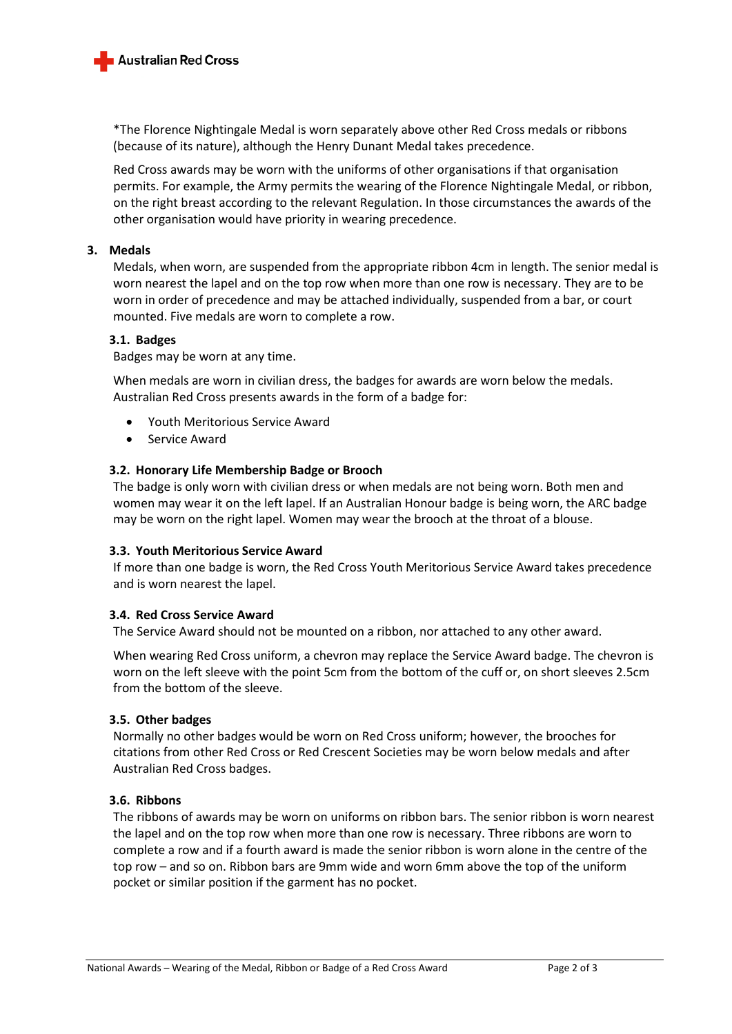

\*The Florence Nightingale Medal is worn separately above other Red Cross medals or ribbons (because of its nature), although the Henry Dunant Medal takes precedence.

Red Cross awards may be worn with the uniforms of other organisations if that organisation permits. For example, the Army permits the wearing of the Florence Nightingale Medal, or ribbon, on the right breast according to the relevant Regulation. In those circumstances the awards of the other organisation would have priority in wearing precedence.

## **3. Medals**

Medals, when worn, are suspended from the appropriate ribbon 4cm in length. The senior medal is worn nearest the lapel and on the top row when more than one row is necessary. They are to be worn in order of precedence and may be attached individually, suspended from a bar, or court mounted. Five medals are worn to complete a row.

### **3.1. Badges**

Badges may be worn at any time.

When medals are worn in civilian dress, the badges for awards are worn below the medals. Australian Red Cross presents awards in the form of a badge for:

- Youth Meritorious Service Award
- Service Award

### **3.2. Honorary Life Membership Badge or Brooch**

The badge is only worn with civilian dress or when medals are not being worn. Both men and women may wear it on the left lapel. If an Australian Honour badge is being worn, the ARC badge may be worn on the right lapel. Women may wear the brooch at the throat of a blouse.

#### **3.3. Youth Meritorious Service Award**

If more than one badge is worn, the Red Cross Youth Meritorious Service Award takes precedence and is worn nearest the lapel.

#### **3.4. Red Cross Service Award**

The Service Award should not be mounted on a ribbon, nor attached to any other award.

When wearing Red Cross uniform, a chevron may replace the Service Award badge. The chevron is worn on the left sleeve with the point 5cm from the bottom of the cuff or, on short sleeves 2.5cm from the bottom of the sleeve.

### **3.5. Other badges**

Normally no other badges would be worn on Red Cross uniform; however, the brooches for citations from other Red Cross or Red Crescent Societies may be worn below medals and after Australian Red Cross badges.

## **3.6. Ribbons**

The ribbons of awards may be worn on uniforms on ribbon bars. The senior ribbon is worn nearest the lapel and on the top row when more than one row is necessary. Three ribbons are worn to complete a row and if a fourth award is made the senior ribbon is worn alone in the centre of the top row – and so on. Ribbon bars are 9mm wide and worn 6mm above the top of the uniform pocket or similar position if the garment has no pocket.